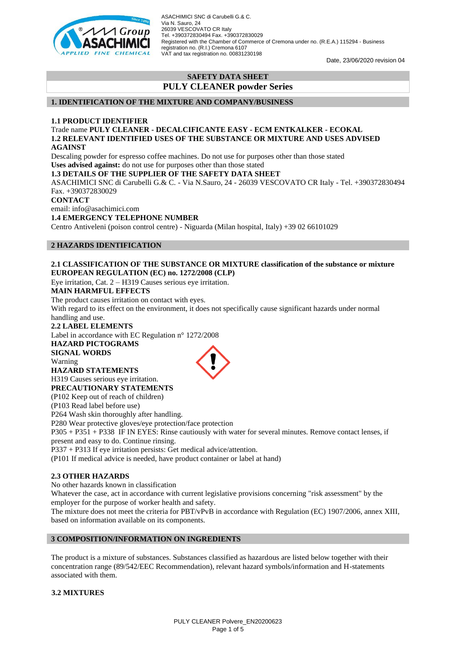

Date, 23/06/2020 revision 04

## **SAFETY DATA SHEET PULY CLEANER powder Series**

#### **1. IDENTIFICATION OF THE MIXTURE AND COMPANY/BUSINESS**

#### **1.1 PRODUCT IDENTIFIER**

Trade name **PULY CLEANER - DECALCIFICANTE EASY - ECM ENTKALKER - ECOKAL 1.2 RELEVANT IDENTIFIED USES OF THE SUBSTANCE OR MIXTURE AND USES ADVISED AGAINST**

Descaling powder for espresso coffee machines. Do not use for purposes other than those stated **Uses advised against:** do not use for purposes other than those stated

**1.3 DETAILS OF THE SUPPLIER OF THE SAFETY DATA SHEET**

ASACHIMICI SNC di Carubelli G.& C. - Via N.Sauro, 24 - 26039 VESCOVATO CR Italy - Tel. +390372830494 Fax. +390372830029

**CONTACT**

email: info@asachimici.com

#### **1.4 EMERGENCY TELEPHONE NUMBER**

Centro Antiveleni (poison control centre) - Niguarda (Milan hospital, Italy) +39 02 66101029

#### **2 HAZARDS IDENTIFICATION**

#### **2.1 CLASSIFICATION OF THE SUBSTANCE OR MIXTURE classification of the substance or mixture EUROPEAN REGULATION (EC) no. 1272/2008 (CLP)**

Eye irritation, Cat. 2 – H319 Causes serious eye irritation.

#### **MAIN HARMFUL EFFECTS**

The product causes irritation on contact with eyes.

With regard to its effect on the environment, it does not specifically cause significant hazards under normal handling and use.

#### **2.2 LABEL ELEMENTS**

Label in accordance with EC Regulation n° 1272/2008

**HAZARD PICTOGRAMS SIGNAL WORDS**

Warning

# **HAZARD STATEMENTS**

H319 Causes serious eye irritation. **PRECAUTIONARY STATEMENTS**

(P102 Keep out of reach of children)

(P103 Read label before use) P264 Wash skin thoroughly after handling.

P280 Wear protective gloves/eye protection/face protection

P305 + P351 + P338 IF IN EYES: Rinse cautiously with water for several minutes. Remove contact lenses, if present and easy to do. Continue rinsing.

P337 + P313 If eye irritation persists: Get medical advice/attention.

(P101 If medical advice is needed, have product container or label at hand)

## **2.3 OTHER HAZARDS**

No other hazards known in classification

Whatever the case, act in accordance with current legislative provisions concerning "risk assessment" by the employer for the purpose of worker health and safety.

The mixture does not meet the criteria for PBT/vPvB in accordance with Regulation (EC) 1907/2006, annex XIII, based on information available on its components.

## **3 COMPOSITION/INFORMATION ON INGREDIENTS**

The product is a mixture of substances. Substances classified as hazardous are listed below together with their concentration range (89/542/EEC Recommendation), relevant hazard symbols/information and H-statements associated with them.

#### **3.2 MIXTURES**

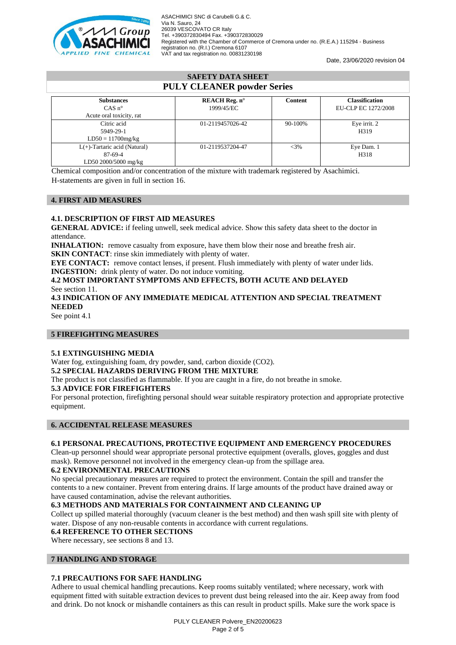

Date, 23/06/2020 revision 04

| <b>SAFETY DATA SHEET</b>                                           |                                    |         |                                              |
|--------------------------------------------------------------------|------------------------------------|---------|----------------------------------------------|
| <b>PULY CLEANER powder Series</b>                                  |                                    |         |                                              |
| <b>Substances</b><br>$CAS n^{\circ}$<br>Acute oral toxicity, rat   | <b>REACH Reg.</b> n°<br>1999/45/EC | Content | <b>Classification</b><br>EU-CLP EC 1272/2008 |
| Citric acid<br>5949-29-1<br>$LD50 = 11700mg/kg$                    | 01-2119457026-42                   | 90-100% | Eye irrit. 2<br>H319                         |
| $L(+)$ -Tartaric acid (Natural)<br>87-69-4<br>LD50 2000/5000 mg/kg | 01-2119537204-47                   | $<$ 3%  | Eye Dam. 1<br>H318                           |

Chemical composition and/or concentration of the mixture with trademark registered by Asachimici. H-statements are given in full in section 16.

## **4. FIRST AID MEASURES**

#### **4.1. DESCRIPTION OF FIRST AID MEASURES**

**GENERAL ADVICE:** if feeling unwell, seek medical advice. Show this safety data sheet to the doctor in attendance.

**INHALATION:** remove casualty from exposure, have them blow their nose and breathe fresh air. **SKIN CONTACT:** rinse skin immediately with plenty of water.

**EYE CONTACT:** remove contact lenses, if present. Flush immediately with plenty of water under lids. **INGESTION:** drink plenty of water. Do not induce vomiting.

## **4.2 MOST IMPORTANT SYMPTOMS AND EFFECTS, BOTH ACUTE AND DELAYED** See section 11.

**4.3 INDICATION OF ANY IMMEDIATE MEDICAL ATTENTION AND SPECIAL TREATMENT NEEDED**

See point 4.1

## **5 FIREFIGHTING MEASURES**

#### **5.1 EXTINGUISHING MEDIA**

Water fog, extinguishing foam, dry powder, sand, carbon dioxide (CO2).

#### **5.2 SPECIAL HAZARDS DERIVING FROM THE MIXTURE**

The product is not classified as flammable. If you are caught in a fire, do not breathe in smoke.

#### **5.3 ADVICE FOR FIREFIGHTERS**

For personal protection, firefighting personal should wear suitable respiratory protection and appropriate protective equipment.

#### **6. ACCIDENTAL RELEASE MEASURES**

## **6.1 PERSONAL PRECAUTIONS, PROTECTIVE EQUIPMENT AND EMERGENCY PROCEDURES**

Clean-up personnel should wear appropriate personal protective equipment (overalls, gloves, goggles and dust mask). Remove personnel not involved in the emergency clean-up from the spillage area.

#### **6.2 ENVIRONMENTAL PRECAUTIONS**

No special precautionary measures are required to protect the environment. Contain the spill and transfer the contents to a new container. Prevent from entering drains. If large amounts of the product have drained away or have caused contamination, advise the relevant authorities.

## **6.3 METHODS AND MATERIALS FOR CONTAINMENT AND CLEANING UP**

Collect up spilled material thoroughly (vacuum cleaner is the best method) and then wash spill site with plenty of water. Dispose of any non-reusable contents in accordance with current regulations.

## **6.4 REFERENCE TO OTHER SECTIONS**

Where necessary, see sections 8 and 13.

#### **7 HANDLING AND STORAGE**

## **7.1 PRECAUTIONS FOR SAFE HANDLING**

Adhere to usual chemical handling precautions. Keep rooms suitably ventilated; where necessary, work with equipment fitted with suitable extraction devices to prevent dust being released into the air. Keep away from food and drink. Do not knock or mishandle containers as this can result in product spills. Make sure the work space is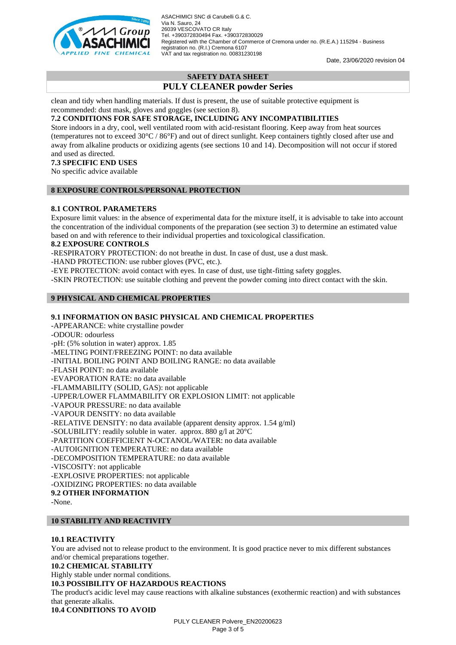

Date, 23/06/2020 revision 04

# **SAFETY DATA SHEET PULY CLEANER powder Series**

clean and tidy when handling materials. If dust is present, the use of suitable protective equipment is recommended: dust mask, gloves and goggles (see section 8).

## **7.2 CONDITIONS FOR SAFE STORAGE, INCLUDING ANY INCOMPATIBILITIES**

Store indoors in a dry, cool, well ventilated room with acid-resistant flooring. Keep away from heat sources (temperatures not to exceed 30°C / 86°F) and out of direct sunlight. Keep containers tightly closed after use and away from alkaline products or oxidizing agents (see sections 10 and 14). Decomposition will not occur if stored and used as directed.

## **7.3 SPECIFIC END USES**

No specific advice available

## **8 EXPOSURE CONTROLS/PERSONAL PROTECTION**

## **8.1 CONTROL PARAMETERS**

Exposure limit values: in the absence of experimental data for the mixture itself, it is advisable to take into account the concentration of the individual components of the preparation (see section 3) to determine an estimated value based on and with reference to their individual properties and toxicological classification.

#### **8.2 EXPOSURE CONTROLS**

-RESPIRATORY PROTECTION: do not breathe in dust. In case of dust, use a dust mask.

-HAND PROTECTION: use rubber gloves (PVC, etc.).

-EYE PROTECTION: avoid contact with eyes. In case of dust, use tight-fitting safety goggles.

-SKIN PROTECTION: use suitable clothing and prevent the powder coming into direct contact with the skin.

## **9 PHYSICAL AND CHEMICAL PROPERTIES**

## **9.1 INFORMATION ON BASIC PHYSICAL AND CHEMICAL PROPERTIES**

-APPEARANCE: white crystalline powder

-ODOUR: odourless

-pH: (5% solution in water) approx. 1.85

-MELTING POINT/FREEZING POINT: no data available

-INITIAL BOILING POINT AND BOILING RANGE: no data available

-FLASH POINT: no data available

-EVAPORATION RATE: no data available

-FLAMMABILITY (SOLID, GAS): not applicable

-UPPER/LOWER FLAMMABILITY OR EXPLOSION LIMIT: not applicable

-VAPOUR PRESSURE: no data available

-VAPOUR DENSITY: no data available

-RELATIVE DENSITY: no data available (apparent density approx. 1.54 g/ml)

-SOLUBILITY: readily soluble in water. approx. 880 g/l at 20°C

-PARTITION COEFFICIENT N-OCTANOL/WATER: no data available

-AUTOIGNITION TEMPERATURE: no data available

-DECOMPOSITION TEMPERATURE: no data available

-VISCOSITY: not applicable

-EXPLOSIVE PROPERTIES: not applicable

-OXIDIZING PROPERTIES: no data available

**9.2 OTHER INFORMATION**

-None.

## **10 STABILITY AND REACTIVITY**

## **10.1 REACTIVITY**

You are advised not to release product to the environment. It is good practice never to mix different substances and/or chemical preparations together.

#### **10.2 CHEMICAL STABILITY**

Highly stable under normal conditions.

## **10.3 POSSIBILITY OF HAZARDOUS REACTIONS**

The product's acidic level may cause reactions with alkaline substances (exothermic reaction) and with substances that generate alkalis.

**10.4 CONDITIONS TO AVOID**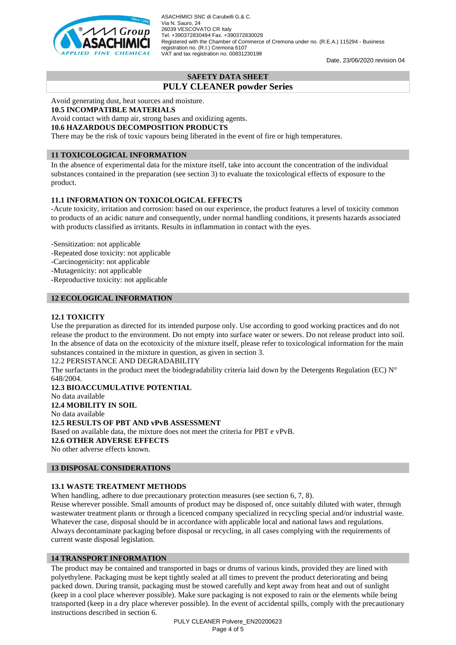

Date, 23/06/2020 revision 04

# **SAFETY DATA SHEET**

**PULY CLEANER powder Series**

Avoid generating dust, heat sources and moisture.

## **10.5 INCOMPATIBLE MATERIALS**

Avoid contact with damp air, strong bases and oxidizing agents. **10.6 HAZARDOUS DECOMPOSITION PRODUCTS**

There may be the risk of toxic vapours being liberated in the event of fire or high temperatures.

## **11 TOXICOLOGICAL INFORMATION**

In the absence of experimental data for the mixture itself, take into account the concentration of the individual substances contained in the preparation (see section 3) to evaluate the toxicological effects of exposure to the product.

# **11.1 INFORMATION ON TOXICOLOGICAL EFFECTS**

-Acute toxicity, irritation and corrosion: based on our experience, the product features a level of toxicity common to products of an acidic nature and consequently, under normal handling conditions, it presents hazards associated with products classified as irritants. Results in inflammation in contact with the eyes.

-Sensitization: not applicable

- -Repeated dose toxicity: not applicable
- -Carcinogenicity: not applicable
- -Mutagenicity: not applicable
- -Reproductive toxicity: not applicable

## **12 ECOLOGICAL INFORMATION**

## **12.1 TOXICITY**

Use the preparation as directed for its intended purpose only. Use according to good working practices and do not release the product to the environment. Do not empty into surface water or sewers. Do not release product into soil. In the absence of data on the ecotoxicity of the mixture itself, please refer to toxicological information for the main substances contained in the mixture in question, as given in section 3.

12.2 PERSISTANCE AND DEGRADABILITY

The surfactants in the product meet the biodegradability criteria laid down by the Detergents Regulation (EC)  $N^{\circ}$ 648/2004.

**12.3 BIOACCUMULATIVE POTENTIAL** No data available **12.4 MOBILITY IN SOIL** No data available **12.5 RESULTS OF PBT AND vPvB ASSESSMENT** Based on available data, the mixture does not meet the criteria for PBT e vPvB. **12.6 OTHER ADVERSE EFFECTS** No other adverse effects known.

## **13 DISPOSAL CONSIDERATIONS**

## **13.1 WASTE TREATMENT METHODS**

When handling, adhere to due precautionary protection measures (see section 6, 7, 8).

Reuse wherever possible. Small amounts of product may be disposed of, once suitably diluted with water, through wastewater treatment plants or through a licenced company specialized in recycling special and/or industrial waste. Whatever the case, disposal should be in accordance with applicable local and national laws and regulations. Always decontaminate packaging before disposal or recycling, in all cases complying with the requirements of current waste disposal legislation.

## **14 TRANSPORT INFORMATION**

The product may be contained and transported in bags or drums of various kinds, provided they are lined with polyethylene. Packaging must be kept tightly sealed at all times to prevent the product deteriorating and being packed down. During transit, packaging must be stowed carefully and kept away from heat and out of sunlight (keep in a cool place wherever possible). Make sure packaging is not exposed to rain or the elements while being transported (keep in a dry place wherever possible). In the event of accidental spills, comply with the precautionary instructions described in section 6.